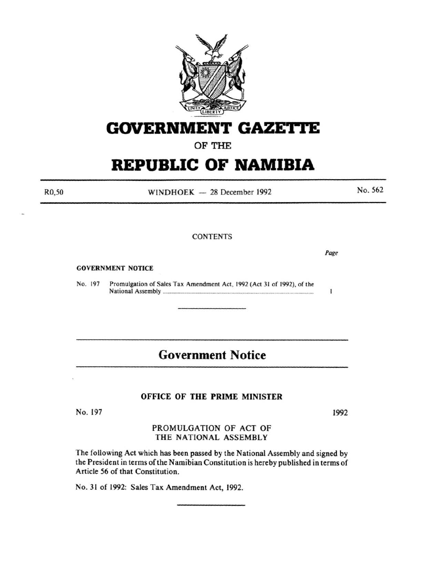

# **GOVERNMENT GAZETTE**

OF THE

# **REPUBLIC OF NAMIBIA**

 $WINDHOEK - 28 December 1992$ 

**CONTENTS** 

GOVERNMENT NOTICE

No. 197 Promulgation of Sales Tax Amendment Act, 1992 (Act 31 of 1992), of the National Assembly ............................................................................................................. .

# **Government Notice**

## OFFICE OF THE PRIME MINISTER

No. 197

1992

## PROMULGATION OF ACT OF THE NATIONAL ASSEMBLY

The following Act which has been passed by the National Assembly and signed by the President in terms of the Namibian Constitution is hereby published in terms of Article 56 of that Constitution.

No. 31 of 1992: Sales Tax Amendment Act, 1992.

R0,50

No. 562

*Page* 

1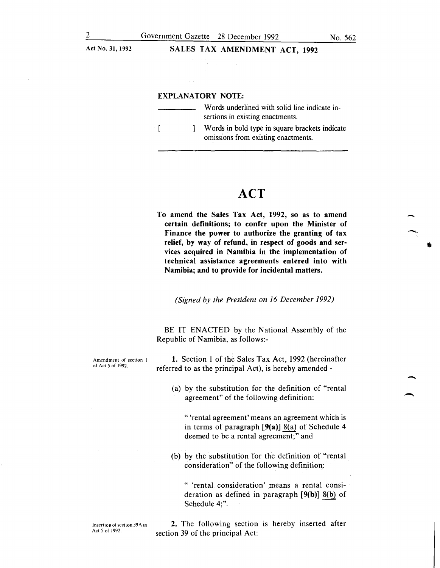Act No. 31, 1992

### SALES TAX AMENDMENT ACT, 1992

#### EXPLANATORY NOTE:

 $\Gamma$ 

Words underlined with solid line indicate insertions in existing enactments.

Words in bold type in square brackets indicate -1 omissions from existing enactments.

# **ACT**

To amend the Sales Tax Act, 1992, so as to amend certain definitions; to confer upon the Minister of Finance the power to authorize the granting of tax relief, by way of refund, in respect of goods and services acquired in Namibia in the implementation of technical assistance agreements entered into with Namibia; and to provide for incidental matters.

*(Signed by the President on 16 December 1992)* 

BE IT ENACTED by the National Assembly of the Republic of Namibia, as follows:-

1. Section I of the Sales Tax Act, 1992 (hereinafter referred to as the principal Act), is hereby amended -

> (a) by the substitution for the definition of "rental agreement" of the following definition:

"'rental agreement' means an agreement which is in terms of paragraph [9(a)] 8(a) of Schedule 4 deemed to be a rental agreement;" and

(b) by the substitution for the definition of "rental consideration" of the following definition:

" 'rental consideration' means a rental consideration as defined in paragraph [9(b)] 8(b) of Schedule 4;".

Insertion of section 39A in Act 5 of 1992.

2. The following section is hereby inserted after section 39 of the principal Act:

Amendment of section I of Act 5 of 1992.

-.

-